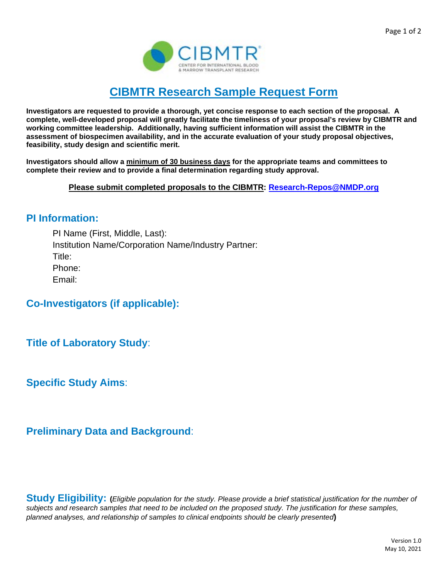

## **CIBMTR Research Sample Request Form**

**Investigators are requested to provide a thorough, yet concise response to each section of the proposal. A complete, well-developed proposal will greatly facilitate the timeliness of your proposal's review by CIBMTR and working committee leadership. Additionally, having sufficient information will assist the CIBMTR in the assessment of biospecimen availability, and in the accurate evaluation of your study proposal objectives, feasibility, study design and scientific merit.**

**Investigators should allow a minimum of 30 business days for the appropriate teams and committees to complete their review and to provide a final determination regarding study approval.**

**Please submit completed proposals to the CIBMTR: [Research-Repos@NMDP.org](mailto:Research-Repos@NMDP.org)**

## **PI Information:**

PI Name (First, Middle, Last): Institution Name/Corporation Name/Industry Partner: Title: Phone: Email:

**Co-Investigators (if applicable):**

**Title of Laboratory Study**:

**Specific Study Aims**:

**Preliminary Data and Background**:

**Study Eligibility: (***Eligible population for the study. Please provide a brief statistical justification for the number of subjects and research samples that need to be included on the proposed study. The justification for these samples, planned analyses, and relationship of samples to clinical endpoints should be clearly presented***)**